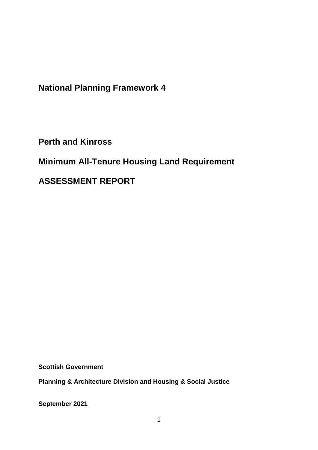**National Planning Framework 4**

**Perth and Kinross**

# **Minimum All-Tenure Housing Land Requirement**

**ASSESSMENT REPORT**

**Scottish Government**

**Planning & Architecture Division and Housing & Social Justice** 

**September 2021**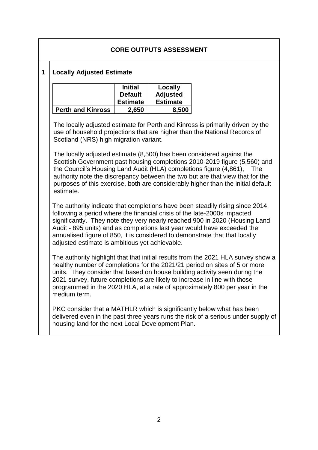## **CORE OUTPUTS ASSESSMENT**

#### **1 Locally Adjusted Estimate**

|                          | <b>Initial</b>  | Locally         |
|--------------------------|-----------------|-----------------|
|                          | <b>Default</b>  | <b>Adjusted</b> |
|                          | <b>Estimate</b> | <b>Estimate</b> |
| <b>Perth and Kinross</b> | 2,650           | 8,500           |

The locally adjusted estimate for Perth and Kinross is primarily driven by the use of household projections that are higher than the National Records of Scotland (NRS) high migration variant.

The locally adjusted estimate (8,500) has been considered against the Scottish Government past housing completions 2010-2019 figure (5,560) and the Council's Housing Land Audit (HLA) completions figure (4,861), The authority note the discrepancy between the two but are that view that for the purposes of this exercise, both are considerably higher than the initial default estimate.

The authority indicate that completions have been steadily rising since 2014, following a period where the financial crisis of the late-2000s impacted significantly. They note they very nearly reached 900 in 2020 (Housing Land Audit - 895 units) and as completions last year would have exceeded the annualised figure of 850, it is considered to demonstrate that that locally adjusted estimate is ambitious yet achievable.

The authority highlight that that initial results from the 2021 HLA survey show a healthy number of completions for the 2021/21 period on sites of 5 or more units. They consider that based on house building activity seen during the 2021 survey, future completions are likely to increase in line with those programmed in the 2020 HLA, at a rate of approximately 800 per year in the medium term.

PKC consider that a MATHLR which is significantly below what has been delivered even in the past three years runs the risk of a serious under supply of housing land for the next Local Development Plan.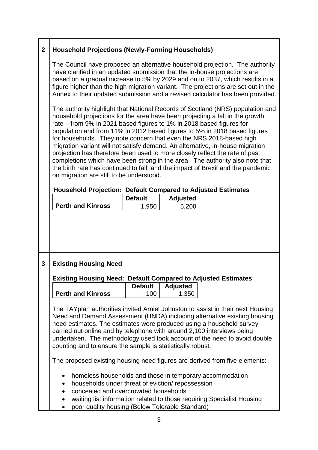## **2 Household Projections (Newly-Forming Households)**

The Council have proposed an alternative household projection. The authority have clarified in an updated submission that the in-house projections are based on a gradual increase to 5% by 2029 and on to 2037, which results in a figure higher than the high migration variant. The projections are set out in the Annex to their updated submission and a revised calculator has been provided.

The authority highlight that National Records of Scotland (NRS) population and household projections for the area have been projecting a fall in the growth rate – from 9% in 2021 based figures to 1% in 2018 based figures for population and from 11% in 2012 based figures to 5% in 2018 based figures for households. They note concern that even the NRS 2018-based high migration variant will not satisfy demand. An alternative, in-house migration projection has therefore been used to more closely reflect the rate of past completions which have been strong in the area. The authority also note that the birth rate has continued to fall, and the impact of Brexit and the pandemic on migration are still to be understood.

#### **Household Projection: Default Compared to Adjusted Estimates**

|                          | <b>Default</b> | <b>Adjusted</b> |
|--------------------------|----------------|-----------------|
| <b>Perth and Kinross</b> | añn            | 5.200           |

## **3 Existing Housing Need**

#### **Existing Housing Need: Default Compared to Adjusted Estimates**

|                          | <b>Default</b> | <b>Adjusted</b> |
|--------------------------|----------------|-----------------|
| <b>Perth and Kinross</b> | 100            | 350             |

The TAYplan authorities invited Arniel Johnston to assist in their next Housing Need and Demand Assessment (HNDA) including alternative existing housing need estimates. The estimates were produced using a household survey carried out online and by telephone with around 2,100 interviews being undertaken. The methodology used took account of the need to avoid double counting and to ensure the sample is statistically robust.

The proposed existing housing need figures are derived from five elements:

- homeless households and those in temporary accommodation
- households under threat of eviction/ repossession
- concealed and overcrowded households
- waiting list information related to those requiring Specialist Housing
- poor quality housing (Below Tolerable Standard)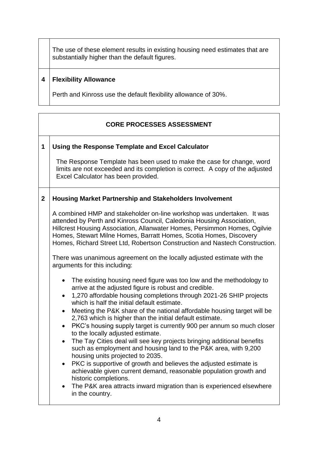The use of these element results in existing housing need estimates that are substantially higher than the default figures.

#### **4 Flexibility Allowance**

Perth and Kinross use the default flexibility allowance of 30%.

## **CORE PROCESSES ASSESSMENT**

#### **1 Using the Response Template and Excel Calculator**

The Response Template has been used to make the case for change, word limits are not exceeded and its completion is correct. A copy of the adjusted Excel Calculator has been provided.

#### **2 Housing Market Partnership and Stakeholders Involvement**

A combined HMP and stakeholder on-line workshop was undertaken. It was attended by Perth and Kinross Council, Caledonia Housing Association, Hillcrest Housing Association, Allanwater Homes, Persimmon Homes, Ogilvie Homes, Stewart Milne Homes, Barratt Homes, Scotia Homes, Discovery Homes, Richard Street Ltd, Robertson Construction and Nastech Construction.

There was unanimous agreement on the locally adjusted estimate with the arguments for this including:

- The existing housing need figure was too low and the methodology to arrive at the adjusted figure is robust and credible.
- 1,270 affordable housing completions through 2021-26 SHIP projects which is half the initial default estimate.
- Meeting the P&K share of the national affordable housing target will be 2,763 which is higher than the initial default estimate.
- PKC's housing supply target is currently 900 per annum so much closer to the locally adjusted estimate.
- The Tay Cities deal will see key projects bringing additional benefits such as employment and housing land to the P&K area, with 9,200 housing units projected to 2035.
- PKC is supportive of growth and believes the adjusted estimate is achievable given current demand, reasonable population growth and historic completions.
- The P&K area attracts inward migration than is experienced elsewhere in the country.